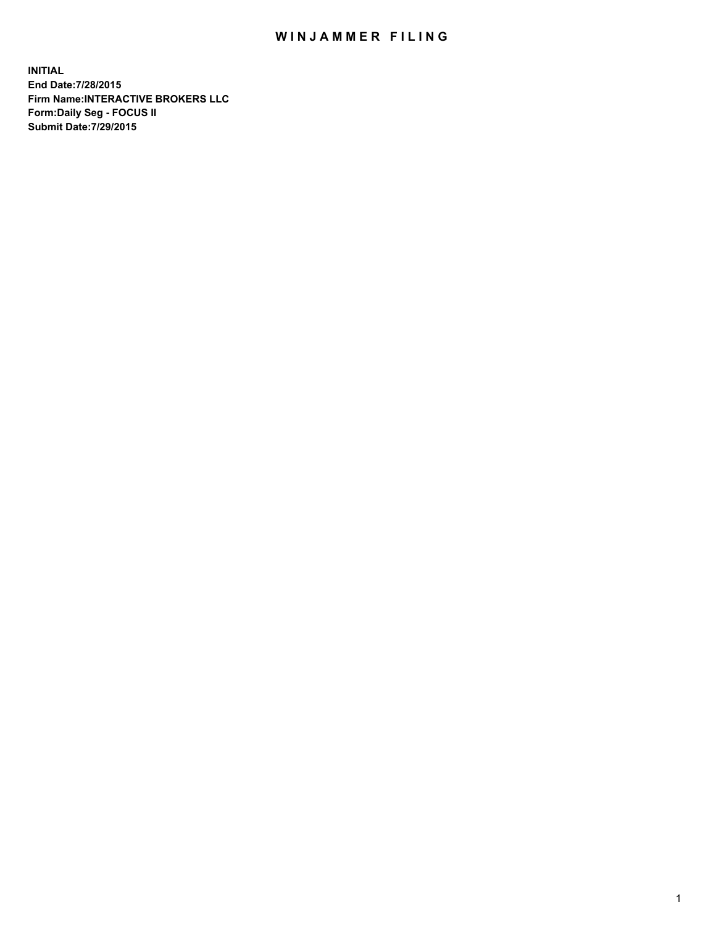## WIN JAMMER FILING

**INITIAL End Date:7/28/2015 Firm Name:INTERACTIVE BROKERS LLC Form:Daily Seg - FOCUS II Submit Date:7/29/2015**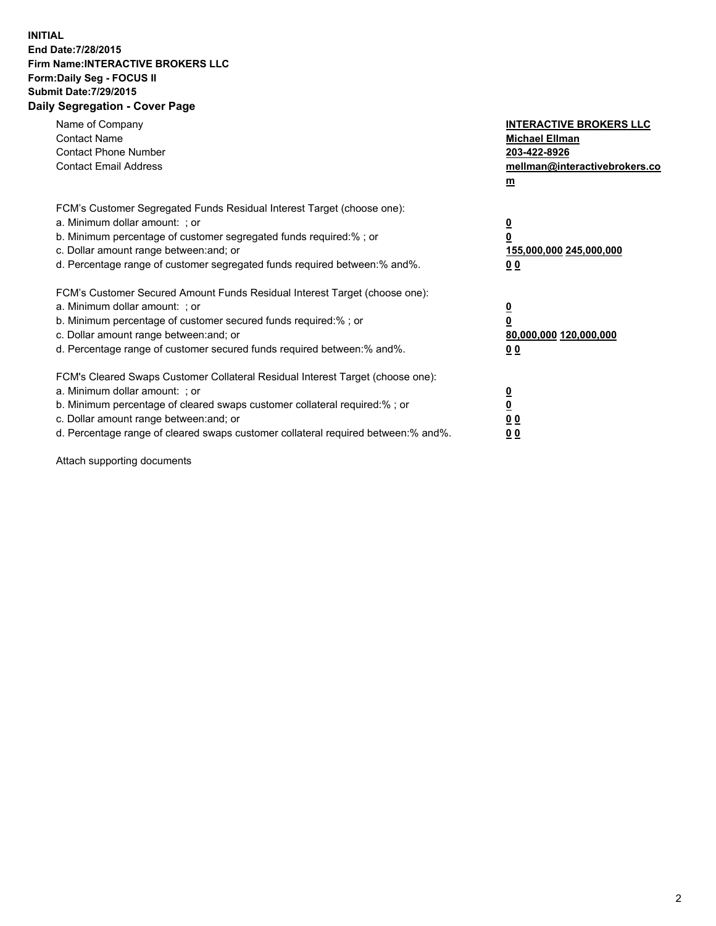## **INITIAL End Date:7/28/2015 Firm Name:INTERACTIVE BROKERS LLC Form:Daily Seg - FOCUS II Submit Date:7/29/2015 Daily Segregation - Cover Page**

| Name of Company<br><b>Contact Name</b><br><b>Contact Phone Number</b><br><b>Contact Email Address</b>                                                                                                                                                                                                                          | <b>INTERACTIVE BROKERS LLC</b><br><b>Michael Ellman</b><br>203-422-8926<br>mellman@interactivebrokers.co<br>$m$ |
|--------------------------------------------------------------------------------------------------------------------------------------------------------------------------------------------------------------------------------------------------------------------------------------------------------------------------------|-----------------------------------------------------------------------------------------------------------------|
| FCM's Customer Segregated Funds Residual Interest Target (choose one):<br>a. Minimum dollar amount: ; or<br>b. Minimum percentage of customer segregated funds required:% ; or<br>c. Dollar amount range between: and; or<br>d. Percentage range of customer segregated funds required between: % and %.                       | $\overline{\mathbf{0}}$<br>0<br>155,000,000 245,000,000<br>00                                                   |
| FCM's Customer Secured Amount Funds Residual Interest Target (choose one):<br>a. Minimum dollar amount: ; or<br>b. Minimum percentage of customer secured funds required:%; or<br>c. Dollar amount range between: and; or<br>d. Percentage range of customer secured funds required between: % and %.                          | $\overline{\mathbf{0}}$<br>0<br>80,000,000 120,000,000<br>0 <sub>0</sub>                                        |
| FCM's Cleared Swaps Customer Collateral Residual Interest Target (choose one):<br>a. Minimum dollar amount: ; or<br>b. Minimum percentage of cleared swaps customer collateral required:% ; or<br>c. Dollar amount range between: and; or<br>d. Percentage range of cleared swaps customer collateral required between:% and%. | $\overline{\mathbf{0}}$<br>$\underline{\mathbf{0}}$<br>0 <sub>0</sub><br>0 <sub>0</sub>                         |

Attach supporting documents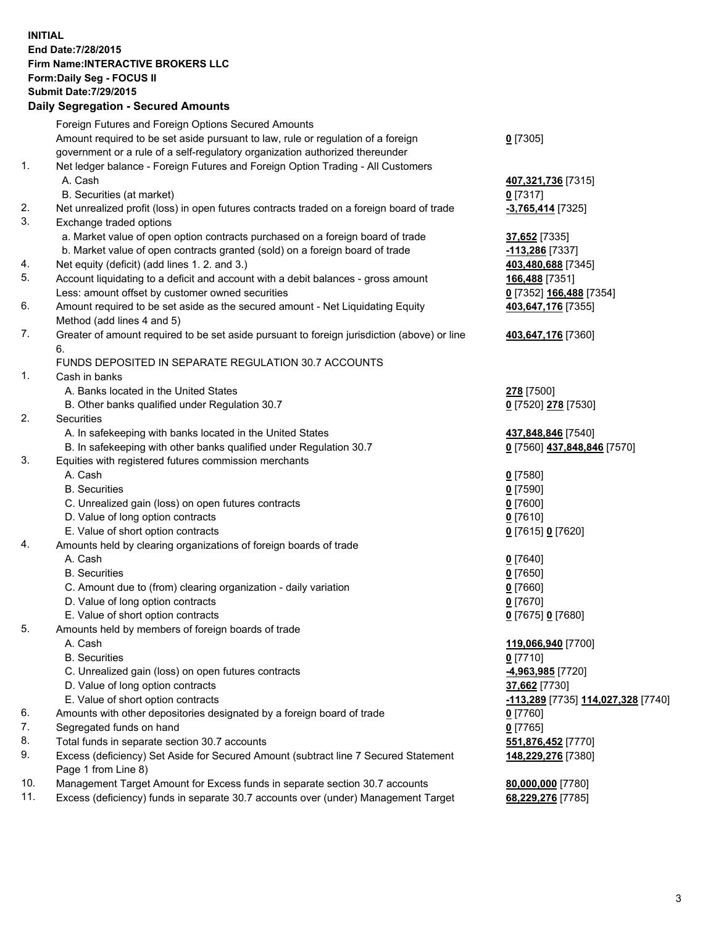## **INITIAL End Date:7/28/2015 Firm Name:INTERACTIVE BROKERS LLC Form:Daily Seg - FOCUS II Submit Date:7/29/2015 Daily Segregation - Secured Amounts**

| Dany Ocgregation - Oceanea Amounts                                                        |                                                                                                                                                                                                                                                                                                                                                                                                                                                                                                                                                                                                                                                                                                                                                                                                                                                                                                                                                                                                                                                                                                                                                                                                                                                                                                                                                                                                                                                                                                                                                                                                                                                                                                                                                                                                                                                                                         |
|-------------------------------------------------------------------------------------------|-----------------------------------------------------------------------------------------------------------------------------------------------------------------------------------------------------------------------------------------------------------------------------------------------------------------------------------------------------------------------------------------------------------------------------------------------------------------------------------------------------------------------------------------------------------------------------------------------------------------------------------------------------------------------------------------------------------------------------------------------------------------------------------------------------------------------------------------------------------------------------------------------------------------------------------------------------------------------------------------------------------------------------------------------------------------------------------------------------------------------------------------------------------------------------------------------------------------------------------------------------------------------------------------------------------------------------------------------------------------------------------------------------------------------------------------------------------------------------------------------------------------------------------------------------------------------------------------------------------------------------------------------------------------------------------------------------------------------------------------------------------------------------------------------------------------------------------------------------------------------------------------|
| Foreign Futures and Foreign Options Secured Amounts                                       |                                                                                                                                                                                                                                                                                                                                                                                                                                                                                                                                                                                                                                                                                                                                                                                                                                                                                                                                                                                                                                                                                                                                                                                                                                                                                                                                                                                                                                                                                                                                                                                                                                                                                                                                                                                                                                                                                         |
| Amount required to be set aside pursuant to law, rule or regulation of a foreign          | $0$ [7305]                                                                                                                                                                                                                                                                                                                                                                                                                                                                                                                                                                                                                                                                                                                                                                                                                                                                                                                                                                                                                                                                                                                                                                                                                                                                                                                                                                                                                                                                                                                                                                                                                                                                                                                                                                                                                                                                              |
| government or a rule of a self-regulatory organization authorized thereunder              |                                                                                                                                                                                                                                                                                                                                                                                                                                                                                                                                                                                                                                                                                                                                                                                                                                                                                                                                                                                                                                                                                                                                                                                                                                                                                                                                                                                                                                                                                                                                                                                                                                                                                                                                                                                                                                                                                         |
| Net ledger balance - Foreign Futures and Foreign Option Trading - All Customers           |                                                                                                                                                                                                                                                                                                                                                                                                                                                                                                                                                                                                                                                                                                                                                                                                                                                                                                                                                                                                                                                                                                                                                                                                                                                                                                                                                                                                                                                                                                                                                                                                                                                                                                                                                                                                                                                                                         |
| A. Cash                                                                                   | 407,321,736 [7315]                                                                                                                                                                                                                                                                                                                                                                                                                                                                                                                                                                                                                                                                                                                                                                                                                                                                                                                                                                                                                                                                                                                                                                                                                                                                                                                                                                                                                                                                                                                                                                                                                                                                                                                                                                                                                                                                      |
| B. Securities (at market)                                                                 | $0$ [7317]                                                                                                                                                                                                                                                                                                                                                                                                                                                                                                                                                                                                                                                                                                                                                                                                                                                                                                                                                                                                                                                                                                                                                                                                                                                                                                                                                                                                                                                                                                                                                                                                                                                                                                                                                                                                                                                                              |
| Net unrealized profit (loss) in open futures contracts traded on a foreign board of trade | $-3,765,414$ [7325]                                                                                                                                                                                                                                                                                                                                                                                                                                                                                                                                                                                                                                                                                                                                                                                                                                                                                                                                                                                                                                                                                                                                                                                                                                                                                                                                                                                                                                                                                                                                                                                                                                                                                                                                                                                                                                                                     |
| Exchange traded options                                                                   |                                                                                                                                                                                                                                                                                                                                                                                                                                                                                                                                                                                                                                                                                                                                                                                                                                                                                                                                                                                                                                                                                                                                                                                                                                                                                                                                                                                                                                                                                                                                                                                                                                                                                                                                                                                                                                                                                         |
| a. Market value of open option contracts purchased on a foreign board of trade            | 37,652 [7335]                                                                                                                                                                                                                                                                                                                                                                                                                                                                                                                                                                                                                                                                                                                                                                                                                                                                                                                                                                                                                                                                                                                                                                                                                                                                                                                                                                                                                                                                                                                                                                                                                                                                                                                                                                                                                                                                           |
|                                                                                           | -113,286 [7337]                                                                                                                                                                                                                                                                                                                                                                                                                                                                                                                                                                                                                                                                                                                                                                                                                                                                                                                                                                                                                                                                                                                                                                                                                                                                                                                                                                                                                                                                                                                                                                                                                                                                                                                                                                                                                                                                         |
|                                                                                           | 403,480,688 [7345]                                                                                                                                                                                                                                                                                                                                                                                                                                                                                                                                                                                                                                                                                                                                                                                                                                                                                                                                                                                                                                                                                                                                                                                                                                                                                                                                                                                                                                                                                                                                                                                                                                                                                                                                                                                                                                                                      |
|                                                                                           | 166,488 [7351]                                                                                                                                                                                                                                                                                                                                                                                                                                                                                                                                                                                                                                                                                                                                                                                                                                                                                                                                                                                                                                                                                                                                                                                                                                                                                                                                                                                                                                                                                                                                                                                                                                                                                                                                                                                                                                                                          |
| Less: amount offset by customer owned securities                                          | 0 [7352] 166,488 [7354]                                                                                                                                                                                                                                                                                                                                                                                                                                                                                                                                                                                                                                                                                                                                                                                                                                                                                                                                                                                                                                                                                                                                                                                                                                                                                                                                                                                                                                                                                                                                                                                                                                                                                                                                                                                                                                                                 |
|                                                                                           | 403,647,176 [7355]                                                                                                                                                                                                                                                                                                                                                                                                                                                                                                                                                                                                                                                                                                                                                                                                                                                                                                                                                                                                                                                                                                                                                                                                                                                                                                                                                                                                                                                                                                                                                                                                                                                                                                                                                                                                                                                                      |
|                                                                                           |                                                                                                                                                                                                                                                                                                                                                                                                                                                                                                                                                                                                                                                                                                                                                                                                                                                                                                                                                                                                                                                                                                                                                                                                                                                                                                                                                                                                                                                                                                                                                                                                                                                                                                                                                                                                                                                                                         |
|                                                                                           | 403,647,176 [7360]                                                                                                                                                                                                                                                                                                                                                                                                                                                                                                                                                                                                                                                                                                                                                                                                                                                                                                                                                                                                                                                                                                                                                                                                                                                                                                                                                                                                                                                                                                                                                                                                                                                                                                                                                                                                                                                                      |
| 6.                                                                                        |                                                                                                                                                                                                                                                                                                                                                                                                                                                                                                                                                                                                                                                                                                                                                                                                                                                                                                                                                                                                                                                                                                                                                                                                                                                                                                                                                                                                                                                                                                                                                                                                                                                                                                                                                                                                                                                                                         |
|                                                                                           |                                                                                                                                                                                                                                                                                                                                                                                                                                                                                                                                                                                                                                                                                                                                                                                                                                                                                                                                                                                                                                                                                                                                                                                                                                                                                                                                                                                                                                                                                                                                                                                                                                                                                                                                                                                                                                                                                         |
|                                                                                           |                                                                                                                                                                                                                                                                                                                                                                                                                                                                                                                                                                                                                                                                                                                                                                                                                                                                                                                                                                                                                                                                                                                                                                                                                                                                                                                                                                                                                                                                                                                                                                                                                                                                                                                                                                                                                                                                                         |
|                                                                                           | 278 [7500]                                                                                                                                                                                                                                                                                                                                                                                                                                                                                                                                                                                                                                                                                                                                                                                                                                                                                                                                                                                                                                                                                                                                                                                                                                                                                                                                                                                                                                                                                                                                                                                                                                                                                                                                                                                                                                                                              |
|                                                                                           | 0 [7520] 278 [7530]                                                                                                                                                                                                                                                                                                                                                                                                                                                                                                                                                                                                                                                                                                                                                                                                                                                                                                                                                                                                                                                                                                                                                                                                                                                                                                                                                                                                                                                                                                                                                                                                                                                                                                                                                                                                                                                                     |
|                                                                                           |                                                                                                                                                                                                                                                                                                                                                                                                                                                                                                                                                                                                                                                                                                                                                                                                                                                                                                                                                                                                                                                                                                                                                                                                                                                                                                                                                                                                                                                                                                                                                                                                                                                                                                                                                                                                                                                                                         |
|                                                                                           | 437,848,846 [7540]                                                                                                                                                                                                                                                                                                                                                                                                                                                                                                                                                                                                                                                                                                                                                                                                                                                                                                                                                                                                                                                                                                                                                                                                                                                                                                                                                                                                                                                                                                                                                                                                                                                                                                                                                                                                                                                                      |
|                                                                                           | 0 [7560] 437,848,846 [7570]                                                                                                                                                                                                                                                                                                                                                                                                                                                                                                                                                                                                                                                                                                                                                                                                                                                                                                                                                                                                                                                                                                                                                                                                                                                                                                                                                                                                                                                                                                                                                                                                                                                                                                                                                                                                                                                             |
|                                                                                           |                                                                                                                                                                                                                                                                                                                                                                                                                                                                                                                                                                                                                                                                                                                                                                                                                                                                                                                                                                                                                                                                                                                                                                                                                                                                                                                                                                                                                                                                                                                                                                                                                                                                                                                                                                                                                                                                                         |
|                                                                                           | $0$ [7580]                                                                                                                                                                                                                                                                                                                                                                                                                                                                                                                                                                                                                                                                                                                                                                                                                                                                                                                                                                                                                                                                                                                                                                                                                                                                                                                                                                                                                                                                                                                                                                                                                                                                                                                                                                                                                                                                              |
|                                                                                           | $0$ [7590]                                                                                                                                                                                                                                                                                                                                                                                                                                                                                                                                                                                                                                                                                                                                                                                                                                                                                                                                                                                                                                                                                                                                                                                                                                                                                                                                                                                                                                                                                                                                                                                                                                                                                                                                                                                                                                                                              |
|                                                                                           | $0$ [7600]                                                                                                                                                                                                                                                                                                                                                                                                                                                                                                                                                                                                                                                                                                                                                                                                                                                                                                                                                                                                                                                                                                                                                                                                                                                                                                                                                                                                                                                                                                                                                                                                                                                                                                                                                                                                                                                                              |
|                                                                                           | $0$ [7610]                                                                                                                                                                                                                                                                                                                                                                                                                                                                                                                                                                                                                                                                                                                                                                                                                                                                                                                                                                                                                                                                                                                                                                                                                                                                                                                                                                                                                                                                                                                                                                                                                                                                                                                                                                                                                                                                              |
|                                                                                           | 0 [7615] 0 [7620]                                                                                                                                                                                                                                                                                                                                                                                                                                                                                                                                                                                                                                                                                                                                                                                                                                                                                                                                                                                                                                                                                                                                                                                                                                                                                                                                                                                                                                                                                                                                                                                                                                                                                                                                                                                                                                                                       |
|                                                                                           |                                                                                                                                                                                                                                                                                                                                                                                                                                                                                                                                                                                                                                                                                                                                                                                                                                                                                                                                                                                                                                                                                                                                                                                                                                                                                                                                                                                                                                                                                                                                                                                                                                                                                                                                                                                                                                                                                         |
|                                                                                           | $0$ [7640]                                                                                                                                                                                                                                                                                                                                                                                                                                                                                                                                                                                                                                                                                                                                                                                                                                                                                                                                                                                                                                                                                                                                                                                                                                                                                                                                                                                                                                                                                                                                                                                                                                                                                                                                                                                                                                                                              |
|                                                                                           | $0$ [7650]                                                                                                                                                                                                                                                                                                                                                                                                                                                                                                                                                                                                                                                                                                                                                                                                                                                                                                                                                                                                                                                                                                                                                                                                                                                                                                                                                                                                                                                                                                                                                                                                                                                                                                                                                                                                                                                                              |
|                                                                                           | $0$ [7660]                                                                                                                                                                                                                                                                                                                                                                                                                                                                                                                                                                                                                                                                                                                                                                                                                                                                                                                                                                                                                                                                                                                                                                                                                                                                                                                                                                                                                                                                                                                                                                                                                                                                                                                                                                                                                                                                              |
|                                                                                           | $0$ [7670]                                                                                                                                                                                                                                                                                                                                                                                                                                                                                                                                                                                                                                                                                                                                                                                                                                                                                                                                                                                                                                                                                                                                                                                                                                                                                                                                                                                                                                                                                                                                                                                                                                                                                                                                                                                                                                                                              |
|                                                                                           | 0 [7675] 0 [7680]                                                                                                                                                                                                                                                                                                                                                                                                                                                                                                                                                                                                                                                                                                                                                                                                                                                                                                                                                                                                                                                                                                                                                                                                                                                                                                                                                                                                                                                                                                                                                                                                                                                                                                                                                                                                                                                                       |
|                                                                                           |                                                                                                                                                                                                                                                                                                                                                                                                                                                                                                                                                                                                                                                                                                                                                                                                                                                                                                                                                                                                                                                                                                                                                                                                                                                                                                                                                                                                                                                                                                                                                                                                                                                                                                                                                                                                                                                                                         |
|                                                                                           | 119,066,940 [7700]                                                                                                                                                                                                                                                                                                                                                                                                                                                                                                                                                                                                                                                                                                                                                                                                                                                                                                                                                                                                                                                                                                                                                                                                                                                                                                                                                                                                                                                                                                                                                                                                                                                                                                                                                                                                                                                                      |
|                                                                                           | $0$ [7710]                                                                                                                                                                                                                                                                                                                                                                                                                                                                                                                                                                                                                                                                                                                                                                                                                                                                                                                                                                                                                                                                                                                                                                                                                                                                                                                                                                                                                                                                                                                                                                                                                                                                                                                                                                                                                                                                              |
|                                                                                           | -4,963,985 [7720]                                                                                                                                                                                                                                                                                                                                                                                                                                                                                                                                                                                                                                                                                                                                                                                                                                                                                                                                                                                                                                                                                                                                                                                                                                                                                                                                                                                                                                                                                                                                                                                                                                                                                                                                                                                                                                                                       |
|                                                                                           | 37,662 [7730]                                                                                                                                                                                                                                                                                                                                                                                                                                                                                                                                                                                                                                                                                                                                                                                                                                                                                                                                                                                                                                                                                                                                                                                                                                                                                                                                                                                                                                                                                                                                                                                                                                                                                                                                                                                                                                                                           |
|                                                                                           | -113,289 [7735] 114,027,328 [7740]                                                                                                                                                                                                                                                                                                                                                                                                                                                                                                                                                                                                                                                                                                                                                                                                                                                                                                                                                                                                                                                                                                                                                                                                                                                                                                                                                                                                                                                                                                                                                                                                                                                                                                                                                                                                                                                      |
|                                                                                           | 0 [7760]                                                                                                                                                                                                                                                                                                                                                                                                                                                                                                                                                                                                                                                                                                                                                                                                                                                                                                                                                                                                                                                                                                                                                                                                                                                                                                                                                                                                                                                                                                                                                                                                                                                                                                                                                                                                                                                                                |
|                                                                                           | $0$ [7765]                                                                                                                                                                                                                                                                                                                                                                                                                                                                                                                                                                                                                                                                                                                                                                                                                                                                                                                                                                                                                                                                                                                                                                                                                                                                                                                                                                                                                                                                                                                                                                                                                                                                                                                                                                                                                                                                              |
|                                                                                           | 551,876,452 [7770]                                                                                                                                                                                                                                                                                                                                                                                                                                                                                                                                                                                                                                                                                                                                                                                                                                                                                                                                                                                                                                                                                                                                                                                                                                                                                                                                                                                                                                                                                                                                                                                                                                                                                                                                                                                                                                                                      |
| Page 1 from Line 8)                                                                       | 148,229,276 [7380]                                                                                                                                                                                                                                                                                                                                                                                                                                                                                                                                                                                                                                                                                                                                                                                                                                                                                                                                                                                                                                                                                                                                                                                                                                                                                                                                                                                                                                                                                                                                                                                                                                                                                                                                                                                                                                                                      |
|                                                                                           | 80,000,000 [7780]                                                                                                                                                                                                                                                                                                                                                                                                                                                                                                                                                                                                                                                                                                                                                                                                                                                                                                                                                                                                                                                                                                                                                                                                                                                                                                                                                                                                                                                                                                                                                                                                                                                                                                                                                                                                                                                                       |
|                                                                                           | 68,229,276 [7785]                                                                                                                                                                                                                                                                                                                                                                                                                                                                                                                                                                                                                                                                                                                                                                                                                                                                                                                                                                                                                                                                                                                                                                                                                                                                                                                                                                                                                                                                                                                                                                                                                                                                                                                                                                                                                                                                       |
|                                                                                           | b. Market value of open contracts granted (sold) on a foreign board of trade<br>Net equity (deficit) (add lines 1.2. and 3.)<br>Account liquidating to a deficit and account with a debit balances - gross amount<br>Amount required to be set aside as the secured amount - Net Liquidating Equity<br>Method (add lines 4 and 5)<br>Greater of amount required to be set aside pursuant to foreign jurisdiction (above) or line<br>FUNDS DEPOSITED IN SEPARATE REGULATION 30.7 ACCOUNTS<br>Cash in banks<br>A. Banks located in the United States<br>B. Other banks qualified under Regulation 30.7<br>Securities<br>A. In safekeeping with banks located in the United States<br>B. In safekeeping with other banks qualified under Regulation 30.7<br>Equities with registered futures commission merchants<br>A. Cash<br><b>B.</b> Securities<br>C. Unrealized gain (loss) on open futures contracts<br>D. Value of long option contracts<br>E. Value of short option contracts<br>Amounts held by clearing organizations of foreign boards of trade<br>A. Cash<br><b>B.</b> Securities<br>C. Amount due to (from) clearing organization - daily variation<br>D. Value of long option contracts<br>E. Value of short option contracts<br>Amounts held by members of foreign boards of trade<br>A. Cash<br><b>B.</b> Securities<br>C. Unrealized gain (loss) on open futures contracts<br>D. Value of long option contracts<br>E. Value of short option contracts<br>Amounts with other depositories designated by a foreign board of trade<br>Segregated funds on hand<br>Total funds in separate section 30.7 accounts<br>Excess (deficiency) Set Aside for Secured Amount (subtract line 7 Secured Statement<br>Management Target Amount for Excess funds in separate section 30.7 accounts<br>Excess (deficiency) funds in separate 30.7 accounts over (under) Management Target |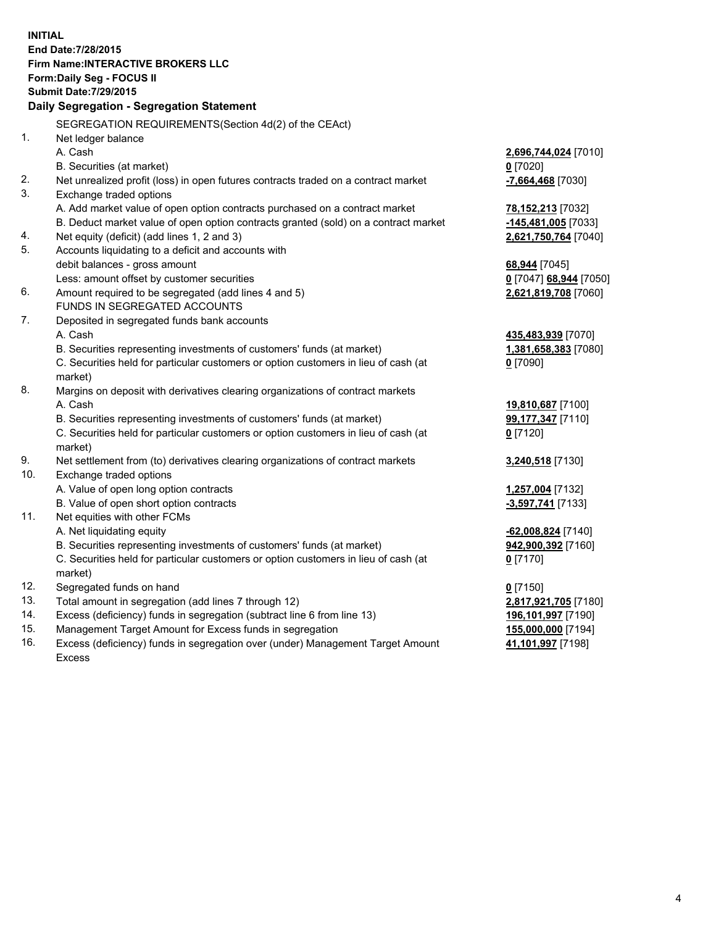**INITIAL End Date:7/28/2015 Firm Name:INTERACTIVE BROKERS LLC Form:Daily Seg - FOCUS II Submit Date:7/29/2015 Daily Segregation - Segregation Statement** SEGREGATION REQUIREMENTS(Section 4d(2) of the CEAct) 1. Net ledger balance A. Cash **2,696,744,024** [7010] B. Securities (at market) **0** [7020] 2. Net unrealized profit (loss) in open futures contracts traded on a contract market **-7,664,468** [7030] 3. Exchange traded options A. Add market value of open option contracts purchased on a contract market **78,152,213** [7032] B. Deduct market value of open option contracts granted (sold) on a contract market **-145,481,005** [7033] 4. Net equity (deficit) (add lines 1, 2 and 3) **2,621,750,764** [7040] 5. Accounts liquidating to a deficit and accounts with debit balances - gross amount **68,944** [7045] Less: amount offset by customer securities **0** [7047] **68,944** [7050] 6. Amount required to be segregated (add lines 4 and 5) **2,621,819,708** [7060] FUNDS IN SEGREGATED ACCOUNTS 7. Deposited in segregated funds bank accounts A. Cash **435,483,939** [7070] B. Securities representing investments of customers' funds (at market) **1,381,658,383** [7080] C. Securities held for particular customers or option customers in lieu of cash (at market) **0** [7090] 8. Margins on deposit with derivatives clearing organizations of contract markets A. Cash **19,810,687** [7100] B. Securities representing investments of customers' funds (at market) **99,177,347** [7110] C. Securities held for particular customers or option customers in lieu of cash (at market) **0** [7120] 9. Net settlement from (to) derivatives clearing organizations of contract markets **3,240,518** [7130] 10. Exchange traded options A. Value of open long option contracts **1,257,004** [7132] B. Value of open short option contracts **-3,597,741** [7133] 11. Net equities with other FCMs A. Net liquidating equity **-62,008,824** [7140] B. Securities representing investments of customers' funds (at market) **942,900,392** [7160] C. Securities held for particular customers or option customers in lieu of cash (at market) **0** [7170] 12. Segregated funds on hand **0** [7150] 13. Total amount in segregation (add lines 7 through 12) **2,817,921,705** [7180] 14. Excess (deficiency) funds in segregation (subtract line 6 from line 13) **196,101,997** [7190] 15. Management Target Amount for Excess funds in segregation **155,000,000** [7194]

16. Excess (deficiency) funds in segregation over (under) Management Target Amount Excess

**41,101,997** [7198]